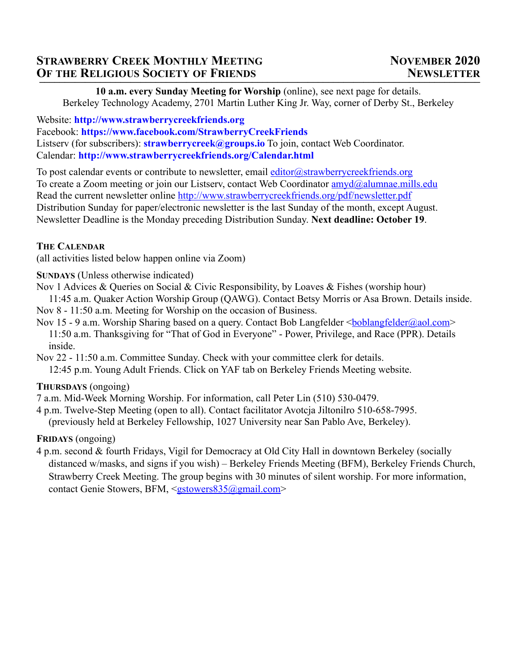# **STRAWBERRY CREEK MONTHLY MEETING NOVEMBER 2020 OF THE RELIGIOUS SOCIETY OF FRIENDS NEWSLETTER**

**10 a.m. every Sunday Meeting for Worship** (online), see next page for details. Berkeley Technology Academy, 2701 Martin Luther King Jr. Way, corner of Derby St., Berkeley

Website: **http://www.strawberrycreekfriends.org** Facebook: **https://www.facebook.com/StrawberryCreekFriends** Listserv (for subscribers): **strawberrycreek@groups.io** To join, contact Web Coordinator. Calendar: **http://www.strawberrycreekfriends.org/Calendar.html**

To post calendar events or contribute to newsletter, email editor@strawberrycreekfriends.org To create a Zoom meeting or join our Listserv, contact Web Coordinator  $\frac{am\gamma d}{a}$ alumnae.mills.edu Read the current newsletter online http://www.strawberrycreekfriends.org/pdf/newsletter.pdf Distribution Sunday for paper/electronic newsletter is the last Sunday of the month, except August. Newsletter Deadline is the Monday preceding Distribution Sunday. **Next deadline: October 19**.

# **THE CALENDAR**

(all activities listed below happen online via Zoom)

**SUNDAYS** (Unless otherwise indicated)

Nov 1 Advices & Queries on Social & Civic Responsibility, by Loaves & Fishes (worship hour)

 11:45 a.m. Quaker Action Worship Group (QAWG). Contact Betsy Morris or Asa Brown. Details inside. Nov 8 - 11:50 a.m. Meeting for Worship on the occasion of Business.

Nov 15 - 9 a.m. Worship Sharing based on a query. Contact Bob Langfelder <br/> boblangfelder@aol.com> 11:50 a.m. Thanksgiving for "That of God in Everyone" - Power, Privilege, and Race (PPR). Details inside.

Nov 22 - 11:50 a.m. Committee Sunday. Check with your committee clerk for details. 12:45 p.m. Young Adult Friends. Click on YAF tab on Berkeley Friends Meeting website.

# **THURSDAYS** (ongoing)

7 a.m. Mid-Week Morning Worship. For information, call Peter Lin (510) 530-0479.

4 p.m. Twelve-Step Meeting (open to all). Contact facilitator Avotcja Jiltonilro 510-658-7995. (previously held at Berkeley Fellowship, 1027 University near San Pablo Ave, Berkeley).

# **FRIDAYS** (ongoing)

4 p.m. second & fourth Fridays, Vigil for Democracy at Old City Hall in downtown Berkeley (socially distanced w/masks, and signs if you wish) – Berkeley Friends Meeting (BFM), Berkeley Friends Church, Strawberry Creek Meeting. The group begins with 30 minutes of silent worship. For more information, contact Genie Stowers, BFM, <gstowers835@gmail.com>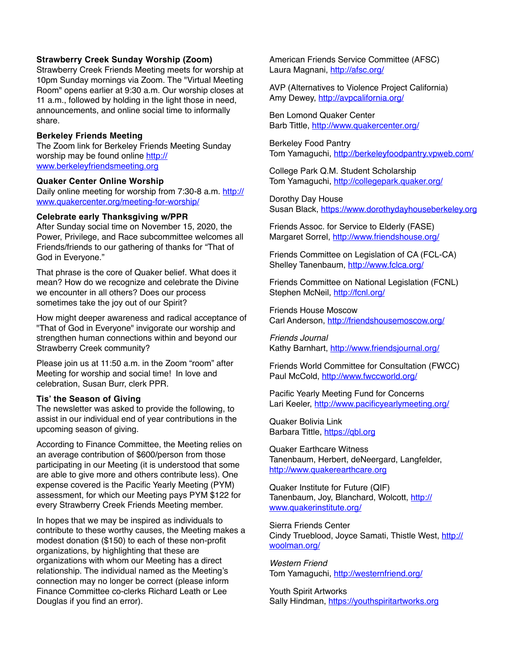#### **Strawberry Creek Sunday Worship (Zoom)**

Strawberry Creek Friends Meeting meets for worship at 10pm Sunday mornings via Zoom. The "Virtual Meeting Room" opens earlier at 9:30 a.m. Our worship closes at 11 a.m., followed by holding in the light those in need, announcements, and online social time to informally share.

### **Berkeley Friends Meeting**

The Zoom link for Berkeley Friends Meeting Sunday worship may be found online http:// www.berkeleyfriendsmeeting.org

#### **Quaker Center Online Worship**

Daily online meeting for worship from 7:30-8 a.m. http:// www.quakercenter.org/meeting-for-worship/

#### **Celebrate early Thanksgiving w/PPR**

After Sunday social time on November 15, 2020, the Power, Privilege, and Race subcommittee welcomes all Friends/friends to our gathering of thanks for "That of God in Everyone."

That phrase is the core of Quaker belief. What does it mean? How do we recognize and celebrate the Divine we encounter in all others? Does our process sometimes take the joy out of our Spirit?

How might deeper awareness and radical acceptance of "That of God in Everyone" invigorate our worship and strengthen human connections within and beyond our Strawberry Creek community?

Please join us at 11:50 a.m. in the Zoom "room" after Meeting for worship and social time! In love and celebration, Susan Burr, clerk PPR.

### **Tis' the Season of Giving**

The newsletter was asked to provide the following, to assist in our individual end of year contributions in the upcoming season of giving.

According to Finance Committee, the Meeting relies on an average contribution of \$600/person from those participating in our Meeting (it is understood that some are able to give more and others contribute less). One expense covered is the Pacific Yearly Meeting (PYM) assessment, for which our Meeting pays PYM \$122 for every Strawberry Creek Friends Meeting member.

In hopes that we may be inspired as individuals to contribute to these worthy causes, the Meeting makes a modest donation (\$150) to each of these non-profit organizations, by highlighting that these are organizations with whom our Meeting has a direct relationship. The individual named as the Meeting's connection may no longer be correct (please inform Finance Committee co-clerks Richard Leath or Lee Douglas if you find an error).

American Friends Service Committee (AFSC) Laura Magnani, http://afsc.org/

AVP (Alternatives to Violence Project California) Amy Dewey, http://avpcalifornia.org/

Ben Lomond Quaker Center Barb Tittle, http://www.quakercenter.org/

Berkeley Food Pantry Tom Yamaguchi, http://berkeleyfoodpantry.vpweb.com/

College Park Q.M. Student Scholarship Tom Yamaguchi, http://collegepark.quaker.org/

Dorothy Day House Susan Black, https://www.dorothydayhouseberkeley.org

Friends Assoc. for Service to Elderly (FASE) Margaret Sorrel, http://www.friendshouse.org/

Friends Committee on Legislation of CA (FCL-CA) Shelley Tanenbaum, http://www.fclca.org/

Friends Committee on National Legislation (FCNL) Stephen McNeil, http://fcnl.org/

Friends House Moscow Carl Anderson, http://friendshousemoscow.org/

*Friends Journal* Kathy Barnhart, http://www.friendsjournal.org/

Friends World Committee for Consultation (FWCC) Paul McCold, http://www.fwccworld.org/

Pacific Yearly Meeting Fund for Concerns Lari Keeler, http://www.pacificyearlymeeting.org/

Quaker Bolivia Link Barbara Tittle, https://qbl.org

Quaker Earthcare Witness Tanenbaum, Herbert, deNeergard, Langfelder, http://www.quakerearthcare.org

Quaker Institute for Future (QIF) Tanenbaum, Joy, Blanchard, Wolcott, http:// www.quakerinstitute.org/

Sierra Friends Center Cindy Trueblood, Joyce Samati, Thistle West, http:// woolman.org/

*Western Friend* Tom Yamaguchi, http://westernfriend.org/

Youth Spirit Artworks Sally Hindman, https://youthspiritartworks.org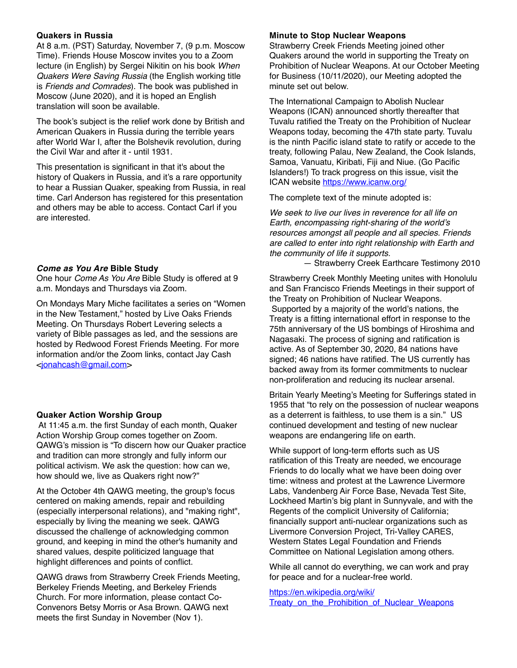### **Quakers in Russia**

At 8 a.m. (PST) Saturday, November 7, (9 p.m. Moscow Time). Friends House Moscow invites you to a Zoom lecture (in English) by Sergei Nikitin on his book *When Quakers Were Saving Russia* (the English working title is *Friends and Comrades*). The book was published in Moscow (June 2020), and it is hoped an English translation will soon be available.

The book's subject is the relief work done by British and American Quakers in Russia during the terrible years after World War I, after the Bolshevik revolution, during the Civil War and after it - until 1931.

This presentation is significant in that it's about the history of Quakers in Russia, and it's a rare opportunity to hear a Russian Quaker, speaking from Russia, in real time. Carl Anderson has registered for this presentation and others may be able to access. Contact Carl if you are interested.

### *Come as You Are* **Bible Study**

One hour *Come As You Are* Bible Study is offered at 9 a.m. Mondays and Thursdays via Zoom.

On Mondays Mary Miche facilitates a series on "Women in the New Testament," hosted by Live Oaks Friends Meeting. On Thursdays Robert Levering selects a variety of Bible passages as led, and the sessions are hosted by Redwood Forest Friends Meeting. For more information and/or the Zoom links, contact Jay Cash <jonahcash@gmail.com>

## **Quaker Action Worship Group**

 At 11:45 a.m. the first Sunday of each month, Quaker Action Worship Group comes together on Zoom. QAWG's mission is "To discern how our Quaker practice and tradition can more strongly and fully inform our political activism. We ask the question: how can we, how should we, live as Quakers right now?"

At the October 4th QAWG meeting, the group's focus centered on making amends, repair and rebuilding (especially interpersonal relations), and "making right", especially by living the meaning we seek. QAWG discussed the challenge of acknowledging common ground, and keeping in mind the other's humanity and shared values, despite politicized language that highlight differences and points of conflict.

QAWG draws from Strawberry Creek Friends Meeting, Berkeley Friends Meeting, and Berkeley Friends Church. For more information, please contact Co-Convenors Betsy Morris or Asa Brown. QAWG next meets the first Sunday in November (Nov 1).

### **Minute to Stop Nuclear Weapons**

Strawberry Creek Friends Meeting joined other Quakers around the world in supporting the Treaty on Prohibition of Nuclear Weapons. At our October Meeting for Business (10/11/2020), our Meeting adopted the minute set out below.

The International Campaign to Abolish Nuclear Weapons (ICAN) announced shortly thereafter that Tuvalu ratified the Treaty on the Prohibition of Nuclear Weapons today, becoming the 47th state party. Tuvalu is the ninth Pacific island state to ratify or accede to the treaty, following Palau, New Zealand, the Cook Islands, Samoa, Vanuatu, Kiribati, Fiji and Niue. (Go Pacific Islanders!) To track progress on this issue, visit the ICAN website https://www.icanw.org/

The complete text of the minute adopted is:

*We seek to live our lives in reverence for all life on Earth, encompassing right-sharing of the world's resources amongst all people and all species. Friends are called to enter into right relationship with Earth and the community of life it supports.*

— Strawberry Creek Earthcare Testimony 2010

Strawberry Creek Monthly Meeting unites with Honolulu and San Francisco Friends Meetings in their support of the Treaty on Prohibition of Nuclear Weapons. Supported by a majority of the world's nations, the Treaty is a fitting international effort in response to the 75th anniversary of the US bombings of Hiroshima and Nagasaki. The process of signing and ratification is active. As of September 30, 2020, 84 nations have signed; 46 nations have ratified. The US currently has backed away from its former commitments to nuclear non-proliferation and reducing its nuclear arsenal.

Britain Yearly Meeting's Meeting for Sufferings stated in 1955 that "to rely on the possession of nuclear weapons as a deterrent is faithless, to use them is a sin." US continued development and testing of new nuclear weapons are endangering life on earth.

While support of long-term efforts such as US ratification of this Treaty are needed, we encourage Friends to do locally what we have been doing over time: witness and protest at the Lawrence Livermore Labs, Vandenberg Air Force Base, Nevada Test Site, Lockheed Martin's big plant in Sunnyvale, and with the Regents of the complicit University of California; financially support anti-nuclear organizations such as Livermore Conversion Project, Tri-Valley CARES, Western States Legal Foundation and Friends Committee on National Legislation among others.

While all cannot do everything, we can work and pray for peace and for a nuclear-free world.

https://en.wikipedia.org/wiki/ Treaty\_on\_the\_Prohibition\_of\_Nuclear\_Weapons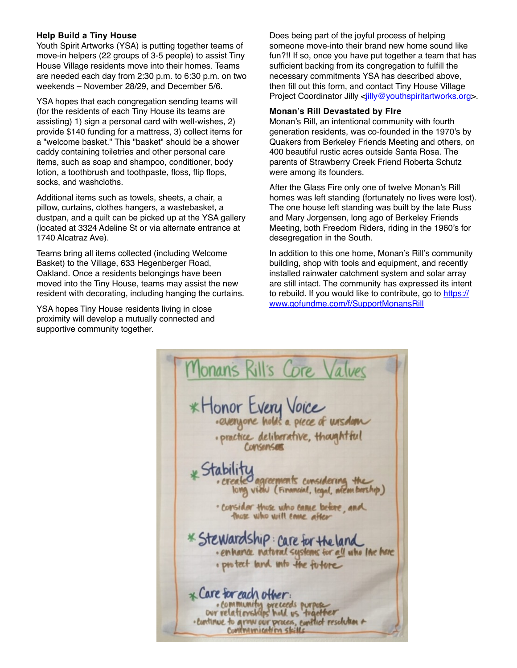## **Help Build a Tiny House**

Youth Spirit Artworks (YSA) is putting together teams of move-in helpers (22 groups of 3-5 people) to assist Tiny House Village residents move into their homes. Teams are needed each day from 2:30 p.m. to 6:30 p.m. on two weekends – November 28/29, and December 5/6.

YSA hopes that each congregation sending teams will (for the residents of each Tiny House its teams are assisting) 1) sign a personal card with well-wishes, 2) provide \$140 funding for a mattress, 3) collect items for a "welcome basket." This "basket" should be a shower caddy containing toiletries and other personal care items, such as soap and shampoo, conditioner, body lotion, a toothbrush and toothpaste, floss, flip flops, socks, and washcloths.

Additional items such as towels, sheets, a chair, a pillow, curtains, clothes hangers, a wastebasket, a dustpan, and a quilt can be picked up at the YSA gallery (located at 3324 Adeline St or via alternate entrance at 1740 Alcatraz Ave).

Teams bring all items collected (including Welcome Basket) to the Village, 633 Hegenberger Road, Oakland. Once a residents belongings have been moved into the Tiny House, teams may assist the new resident with decorating, including hanging the curtains.

YSA hopes Tiny House residents living in close proximity will develop a mutually connected and supportive community together.

Does being part of the joyful process of helping someone move-into their brand new home sound like fun?!! If so, once you have put together a team that has sufficient backing from its congregation to fulfill the necessary commitments YSA has described above, then fill out this form, and contact Tiny House Village Project Coordinator Jilly <jilly@youthspiritartworks.org>.

#### **Monan's Rill Devastated by FIre**

Monan's Rill, an intentional community with fourth generation residents, was co-founded in the 1970's by Quakers from Berkeley Friends Meeting and others, on 400 beautiful rustic acres outside Santa Rosa. The parents of Strawberry Creek Friend Roberta Schutz were among its founders.

After the Glass Fire only one of twelve Monan's Rill homes was left standing (fortunately no lives were lost). The one house left standing was built by the late Russ and Mary Jorgensen, long ago of Berkeley Friends Meeting, both Freedom Riders, riding in the 1960's for desegregation in the South.

In addition to this one home, Monan's Rill's community building, shop with tools and equipment, and recently installed rainwater catchment system and solar array are still intact. The community has expressed its intent to rebuild. If you would like to contribute, go to https:// www.gofundme.com/f/SupportMonansRill

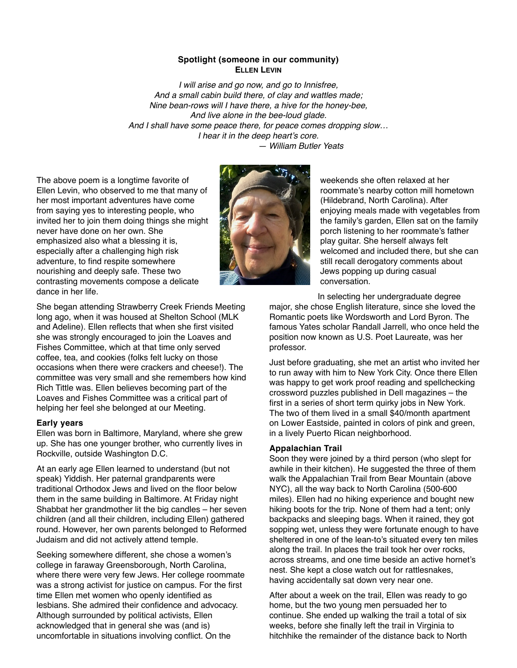#### **Spotlight (someone in our community) ELLEN LEVIN**

*I will arise and go now, and go to Innisfree, And a small cabin build there, of clay and wattles made; Nine bean-rows will I have there, a hive for the honey-bee, And live alone in the bee-loud glade. And I shall have some peace there, for peace comes dropping slow… I hear it in the deep heart's core. — William Butler Yeats*

The above poem is a longtime favorite of Ellen Levin, who observed to me that many of her most important adventures have come from saying yes to interesting people, who invited her to join them doing things she might never have done on her own. She emphasized also what a blessing it is, especially after a challenging high risk adventure, to find respite somewhere nourishing and deeply safe. These two contrasting movements compose a delicate dance in her life.



weekends she often relaxed at her roommate's nearby cotton mill hometown (Hildebrand, North Carolina). After enjoying meals made with vegetables from the family's garden, Ellen sat on the family porch listening to her roommate's father play guitar. She herself always felt welcomed and included there, but she can still recall derogatory comments about Jews popping up during casual conversation.

In selecting her undergraduate degree

major, she chose English literature, since she loved the Romantic poets like Wordsworth and Lord Byron. The famous Yates scholar Randall Jarrell, who once held the position now known as U.S. Poet Laureate, was her professor.

Just before graduating, she met an artist who invited her to run away with him to New York City. Once there Ellen was happy to get work proof reading and spellchecking crossword puzzles published in Dell magazines – the first in a series of short term quirky jobs in New York. The two of them lived in a small \$40/month apartment on Lower Eastside, painted in colors of pink and green, in a lively Puerto Rican neighborhood.

#### **Appalachian Trail**

Soon they were joined by a third person (who slept for awhile in their kitchen). He suggested the three of them walk the Appalachian Trail from Bear Mountain (above NYC), all the way back to North Carolina (500-600 miles). Ellen had no hiking experience and bought new hiking boots for the trip. None of them had a tent; only backpacks and sleeping bags. When it rained, they got sopping wet, unless they were fortunate enough to have sheltered in one of the lean-to's situated every ten miles along the trail. In places the trail took her over rocks, across streams, and one time beside an active hornet's nest. She kept a close watch out for rattlesnakes, having accidentally sat down very near one.

After about a week on the trail, Ellen was ready to go home, but the two young men persuaded her to continue. She ended up walking the trail a total of six weeks, before she finally left the trail in Virginia to hitchhike the remainder of the distance back to North

She began attending Strawberry Creek Friends Meeting long ago, when it was housed at Shelton School (MLK and Adeline). Ellen reflects that when she first visited she was strongly encouraged to join the Loaves and Fishes Committee, which at that time only served coffee, tea, and cookies (folks felt lucky on those occasions when there were crackers and cheese!). The committee was very small and she remembers how kind Rich Tittle was. Ellen believes becoming part of the Loaves and Fishes Committee was a critical part of helping her feel she belonged at our Meeting.

#### **Early years**

Ellen was born in Baltimore, Maryland, where she grew up. She has one younger brother, who currently lives in Rockville, outside Washington D.C.

At an early age Ellen learned to understand (but not speak) Yiddish. Her paternal grandparents were traditional Orthodox Jews and lived on the floor below them in the same building in Baltimore. At Friday night Shabbat her grandmother lit the big candles – her seven children (and all their children, including Ellen) gathered round. However, her own parents belonged to Reformed Judaism and did not actively attend temple.

Seeking somewhere different, she chose a women's college in faraway Greensborough, North Carolina, where there were very few Jews. Her college roommate was a strong activist for justice on campus. For the first time Ellen met women who openly identified as lesbians. She admired their confidence and advocacy. Although surrounded by political activists, Ellen acknowledged that in general she was (and is) uncomfortable in situations involving conflict. On the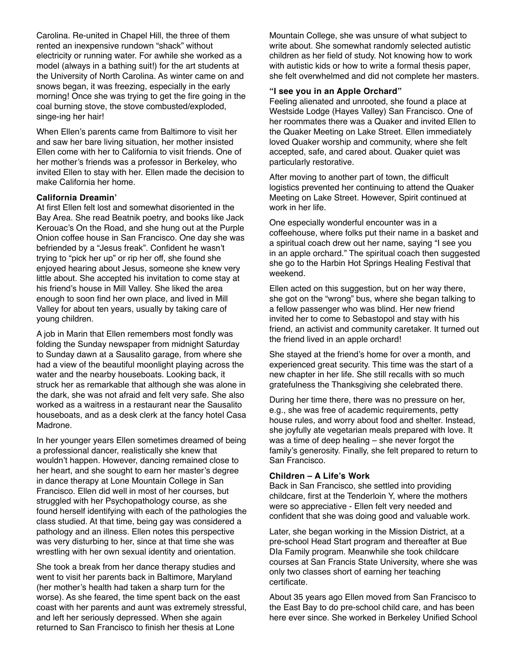Carolina. Re-united in Chapel Hill, the three of them rented an inexpensive rundown "shack" without electricity or running water. For awhile she worked as a model (always in a bathing suit!) for the art students at the University of North Carolina. As winter came on and snows began, it was freezing, especially in the early morning! Once she was trying to get the fire going in the coal burning stove, the stove combusted/exploded, singe-ing her hair!

When Ellen's parents came from Baltimore to visit her and saw her bare living situation, her mother insisted Ellen come with her to California to visit friends. One of her mother's friends was a professor in Berkeley, who invited Ellen to stay with her. Ellen made the decision to make California her home.

#### **California Dreamin'**

At first Ellen felt lost and somewhat disoriented in the Bay Area. She read Beatnik poetry, and books like Jack Kerouac's On the Road, and she hung out at the Purple Onion coffee house in San Francisco. One day she was befriended by a "Jesus freak". Confident he wasn't trying to "pick her up" or rip her off, she found she enjoyed hearing about Jesus, someone she knew very little about. She accepted his invitation to come stay at his friend's house in Mill Valley. She liked the area enough to soon find her own place, and lived in Mill Valley for about ten years, usually by taking care of young children.

A job in Marin that Ellen remembers most fondly was folding the Sunday newspaper from midnight Saturday to Sunday dawn at a Sausalito garage, from where she had a view of the beautiful moonlight playing across the water and the nearby houseboats. Looking back, it struck her as remarkable that although she was alone in the dark, she was not afraid and felt very safe. She also worked as a waitress in a restaurant near the Sausalito houseboats, and as a desk clerk at the fancy hotel Casa Madrone.

In her younger years Ellen sometimes dreamed of being a professional dancer, realistically she knew that wouldn't happen. However, dancing remained close to her heart, and she sought to earn her master's degree in dance therapy at Lone Mountain College in San Francisco. Ellen did well in most of her courses, but struggled with her Psychopathology course, as she found herself identifying with each of the pathologies the class studied. At that time, being gay was considered a pathology and an illness. Ellen notes this perspective was very disturbing to her, since at that time she was wrestling with her own sexual identity and orientation.

She took a break from her dance therapy studies and went to visit her parents back in Baltimore, Maryland (her mother's health had taken a sharp turn for the worse). As she feared, the time spent back on the east coast with her parents and aunt was extremely stressful, and left her seriously depressed. When she again returned to San Francisco to finish her thesis at Lone

Mountain College, she was unsure of what subject to write about. She somewhat randomly selected autistic children as her field of study. Not knowing how to work with autistic kids or how to write a formal thesis paper, she felt overwhelmed and did not complete her masters.

#### **"I see you in an Apple Orchard"**

Feeling alienated and unrooted, she found a place at Westside Lodge (Hayes Valley) San Francisco. One of her roommates there was a Quaker and invited Ellen to the Quaker Meeting on Lake Street. Ellen immediately loved Quaker worship and community, where she felt accepted, safe, and cared about. Quaker quiet was particularly restorative.

After moving to another part of town, the difficult logistics prevented her continuing to attend the Quaker Meeting on Lake Street. However, Spirit continued at work in her life.

One especially wonderful encounter was in a coffeehouse, where folks put their name in a basket and a spiritual coach drew out her name, saying "I see you in an apple orchard." The spiritual coach then suggested she go to the Harbin Hot Springs Healing Festival that weekend.

Ellen acted on this suggestion, but on her way there, she got on the "wrong" bus, where she began talking to a fellow passenger who was blind. Her new friend invited her to come to Sebastopol and stay with his friend, an activist and community caretaker. It turned out the friend lived in an apple orchard!

She stayed at the friend's home for over a month, and experienced great security. This time was the start of a new chapter in her life. She still recalls with so much gratefulness the Thanksgiving she celebrated there.

During her time there, there was no pressure on her, e.g., she was free of academic requirements, petty house rules, and worry about food and shelter. Instead, she joyfully ate vegetarian meals prepared with love. It was a time of deep healing – she never forgot the family's generosity. Finally, she felt prepared to return to San Francisco.

#### **Children – A Life's Work**

Back in San Francisco, she settled into providing childcare, first at the Tenderloin Y, where the mothers were so appreciative - Ellen felt very needed and confident that she was doing good and valuable work.

Later, she began working in the Mission District, at a pre-school Head Start program and thereafter at Bue DIa Family program. Meanwhile she took childcare courses at San Francis State University, where she was only two classes short of earning her teaching certificate.

About 35 years ago Ellen moved from San Francisco to the East Bay to do pre-school child care, and has been here ever since. She worked in Berkeley Unified School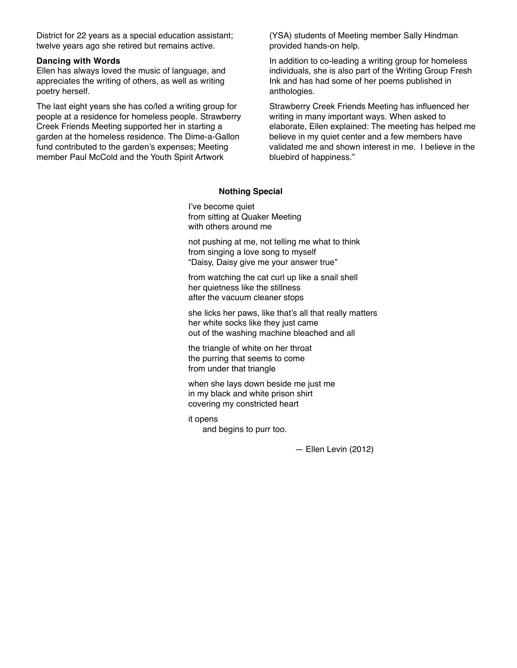District for 22 years as a special education assistant; twelve years ago she retired but remains active.

#### **Dancing with Words**

Ellen has always loved the music of language, and appreciates the writing of others, as well as writing poetry herself.

The last eight years she has co/led a writing group for people at a residence for homeless people. Strawberry Creek Friends Meeting supported her in starting a garden at the homeless residence. The Dime-a-Gallon fund contributed to the garden's expenses; Meeting member Paul McCold and the Youth Spirit Artwork

(YSA) students of Meeting member Sally Hindman provided hands-on help.

In addition to co-leading a writing group for homeless individuals, she is also part of the Writing Group Fresh Ink and has had some of her poems published in anthologies.

Strawberry Creek Friends Meeting has influenced her writing in many important ways. When asked to elaborate, Ellen explained: The meeting has helped me believe in my quiet center and a few members have validated me and shown interest in me. I believe in the bluebird of happiness."

### **Nothing Special**

I've become quiet from sitting at Quaker Meeting with others around me

not pushing at me, not telling me what to think from singing a love song to myself "Daisy, Daisy give me your answer true"

from watching the cat curl up like a snail shell her quietness like the stillness after the vacuum cleaner stops

she licks her paws, like that's all that really matters her white socks like they just came out of the washing machine bleached and all

the triangle of white on her throat the purring that seems to come from under that triangle

when she lays down beside me just me in my black and white prison shirt covering my constricted heart

it opens and begins to purr too.

— Ellen Levin (2012)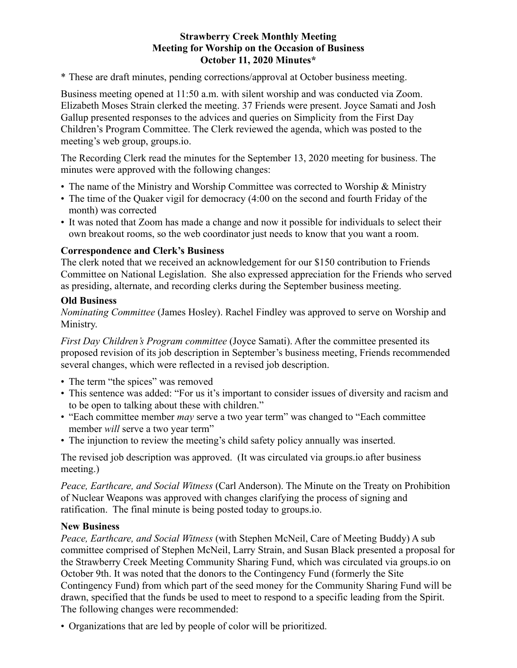## **Strawberry Creek Monthly Meeting Meeting for Worship on the Occasion of Business October 11, 2020 Minutes\***

\* These are draft minutes, pending corrections/approval at October business meeting.

Business meeting opened at 11:50 a.m. with silent worship and was conducted via Zoom. Elizabeth Moses Strain clerked the meeting. 37 Friends were present. Joyce Samati and Josh Gallup presented responses to the advices and queries on Simplicity from the First Day Children's Program Committee. The Clerk reviewed the agenda, which was posted to the meeting's web group, groups.io.

The Recording Clerk read the minutes for the September 13, 2020 meeting for business. The minutes were approved with the following changes:

- The name of the Ministry and Worship Committee was corrected to Worship & Ministry
- The time of the Quaker vigil for democracy (4:00 on the second and fourth Friday of the month) was corrected
- It was noted that Zoom has made a change and now it possible for individuals to select their own breakout rooms, so the web coordinator just needs to know that you want a room.

## **Correspondence and Clerk's Business**

The clerk noted that we received an acknowledgement for our \$150 contribution to Friends Committee on National Legislation. She also expressed appreciation for the Friends who served as presiding, alternate, and recording clerks during the September business meeting.

## **Old Business**

*Nominating Committee* (James Hosley). Rachel Findley was approved to serve on Worship and Ministry.

*First Day Children's Program committee* (Joyce Samati). After the committee presented its proposed revision of its job description in September's business meeting, Friends recommended several changes, which were reflected in a revised job description.

- The term "the spices" was removed
- This sentence was added: "For us it's important to consider issues of diversity and racism and to be open to talking about these with children."
- "Each committee member *may* serve a two year term" was changed to "Each committee member *will* serve a two year term"
- The injunction to review the meeting's child safety policy annually was inserted.

The revised job description was approved. (It was circulated via groups.io after business meeting.)

*Peace, Earthcare, and Social Witness* (Carl Anderson). The Minute on the Treaty on Prohibition of Nuclear Weapons was approved with changes clarifying the process of signing and ratification. The final minute is being posted today to groups.io.

# **New Business**

*Peace, Earthcare, and Social Witness* (with Stephen McNeil, Care of Meeting Buddy) A sub committee comprised of Stephen McNeil, Larry Strain, and Susan Black presented a proposal for the Strawberry Creek Meeting Community Sharing Fund, which was circulated via groups.io on October 9th. It was noted that the donors to the Contingency Fund (formerly the Site Contingency Fund) from which part of the seed money for the Community Sharing Fund will be drawn, specified that the funds be used to meet to respond to a specific leading from the Spirit. The following changes were recommended:

• Organizations that are led by people of color will be prioritized.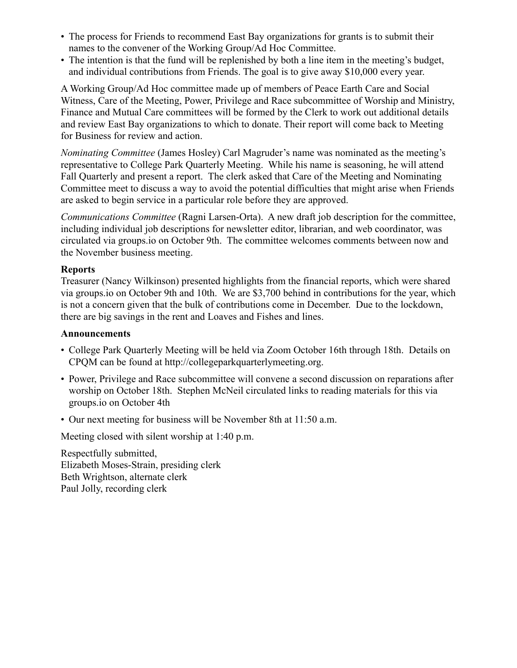- The process for Friends to recommend East Bay organizations for grants is to submit their names to the convener of the Working Group/Ad Hoc Committee.
- The intention is that the fund will be replenished by both a line item in the meeting's budget, and individual contributions from Friends. The goal is to give away \$10,000 every year.

A Working Group/Ad Hoc committee made up of members of Peace Earth Care and Social Witness, Care of the Meeting, Power, Privilege and Race subcommittee of Worship and Ministry, Finance and Mutual Care committees will be formed by the Clerk to work out additional details and review East Bay organizations to which to donate. Their report will come back to Meeting for Business for review and action.

*Nominating Committee* (James Hosley) Carl Magruder's name was nominated as the meeting's representative to College Park Quarterly Meeting. While his name is seasoning, he will attend Fall Quarterly and present a report. The clerk asked that Care of the Meeting and Nominating Committee meet to discuss a way to avoid the potential difficulties that might arise when Friends are asked to begin service in a particular role before they are approved.

*Communications Committee* (Ragni Larsen-Orta). A new draft job description for the committee, including individual job descriptions for newsletter editor, librarian, and web coordinator, was circulated via groups.io on October 9th. The committee welcomes comments between now and the November business meeting.

# **Reports**

Treasurer (Nancy Wilkinson) presented highlights from the financial reports, which were shared via groups.io on October 9th and 10th. We are \$3,700 behind in contributions for the year, which is not a concern given that the bulk of contributions come in December. Due to the lockdown, there are big savings in the rent and Loaves and Fishes and lines.

# **Announcements**

- College Park Quarterly Meeting will be held via Zoom October 16th through 18th. Details on CPQM can be found at http://collegeparkquarterlymeeting.org.
- Power, Privilege and Race subcommittee will convene a second discussion on reparations after worship on October 18th. Stephen McNeil circulated links to reading materials for this via groups.io on October 4th
- Our next meeting for business will be November 8th at 11:50 a.m.

Meeting closed with silent worship at 1:40 p.m.

Respectfully submitted, Elizabeth Moses-Strain, presiding clerk Beth Wrightson, alternate clerk Paul Jolly, recording clerk